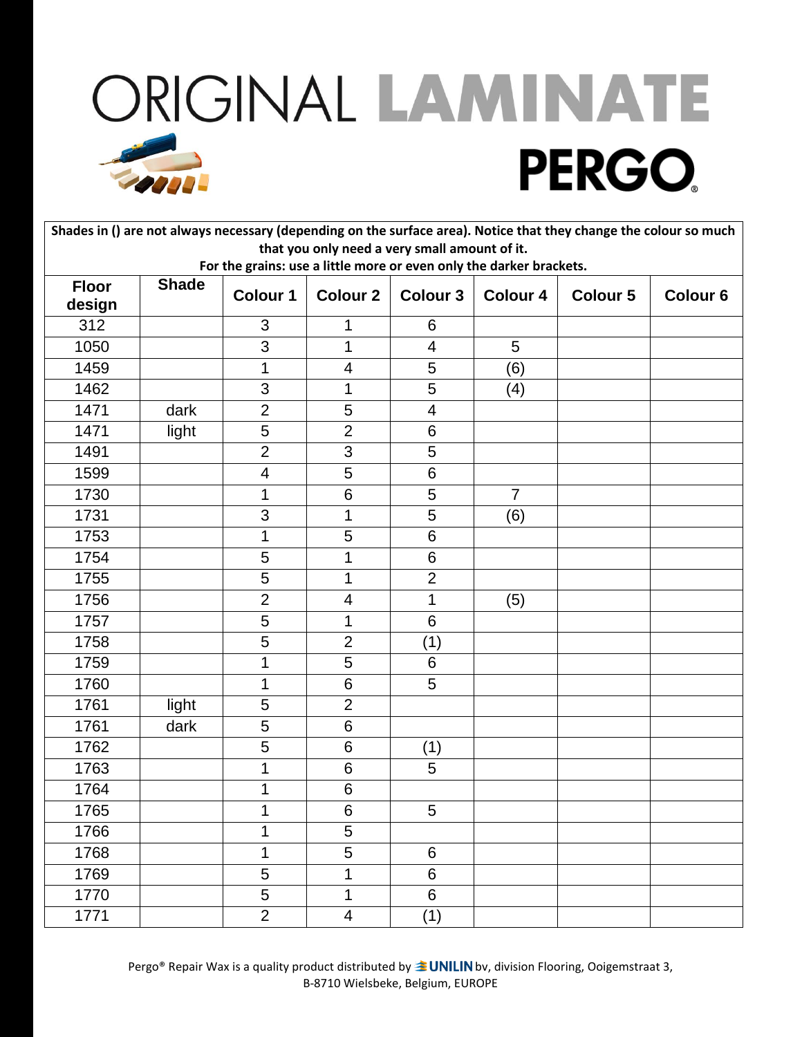| Shades in () are not always necessary (depending on the surface area). Notice that they change the colour so much |       |                         |                          |                 |                 |                 |                 |  |  |  |
|-------------------------------------------------------------------------------------------------------------------|-------|-------------------------|--------------------------|-----------------|-----------------|-----------------|-----------------|--|--|--|
| that you only need a very small amount of it.                                                                     |       |                         |                          |                 |                 |                 |                 |  |  |  |
| For the grains: use a little more or even only the darker brackets.<br><b>Shade</b><br><b>Floor</b>               |       |                         |                          |                 |                 |                 |                 |  |  |  |
| design                                                                                                            |       | <b>Colour 1</b>         | <b>Colour 2</b>          | <b>Colour 3</b> | <b>Colour 4</b> | <b>Colour 5</b> | <b>Colour 6</b> |  |  |  |
| 312                                                                                                               |       | 3                       | 1                        | 6               |                 |                 |                 |  |  |  |
| 1050                                                                                                              |       | 3                       | 1                        | $\overline{4}$  | 5               |                 |                 |  |  |  |
| 1459                                                                                                              |       | 1                       | 4                        | 5               | (6)             |                 |                 |  |  |  |
| 1462                                                                                                              |       | 3                       | 1                        | 5               | (4)             |                 |                 |  |  |  |
| 1471                                                                                                              | dark  | $\overline{2}$          | 5                        | $\overline{4}$  |                 |                 |                 |  |  |  |
| 1471                                                                                                              | light | 5                       | $\overline{2}$           | 6               |                 |                 |                 |  |  |  |
| 1491                                                                                                              |       | $\overline{2}$          | $\mathfrak{S}$           | 5               |                 |                 |                 |  |  |  |
| 1599                                                                                                              |       | $\overline{\mathbf{4}}$ | 5                        | 6               |                 |                 |                 |  |  |  |
| 1730                                                                                                              |       | $\mathbf 1$             | 6                        | 5               | $\overline{7}$  |                 |                 |  |  |  |
| 1731                                                                                                              |       | 3                       | 1                        | 5               | (6)             |                 |                 |  |  |  |
| 1753                                                                                                              |       | 1                       | 5                        | 6               |                 |                 |                 |  |  |  |
| 1754                                                                                                              |       | 5                       | 1                        | 6               |                 |                 |                 |  |  |  |
| 1755                                                                                                              |       | 5                       | 1                        | $\overline{2}$  |                 |                 |                 |  |  |  |
| 1756                                                                                                              |       | $\overline{2}$          | $\overline{4}$           | 1               | (5)             |                 |                 |  |  |  |
| 1757                                                                                                              |       | 5                       | 1                        | 6               |                 |                 |                 |  |  |  |
| 1758                                                                                                              |       | 5                       | $\overline{2}$           | (1)             |                 |                 |                 |  |  |  |
| 1759                                                                                                              |       | 1                       | 5                        | 6               |                 |                 |                 |  |  |  |
| 1760                                                                                                              |       | 1                       | 6                        | 5               |                 |                 |                 |  |  |  |
| 1761                                                                                                              | light | 5                       | $\overline{2}$           |                 |                 |                 |                 |  |  |  |
| 1761                                                                                                              | dark  | 5                       | 6                        |                 |                 |                 |                 |  |  |  |
| 1762                                                                                                              |       | 5                       | 6                        | (1)             |                 |                 |                 |  |  |  |
| 1763                                                                                                              |       | 1                       | 6                        | 5               |                 |                 |                 |  |  |  |
| 1764                                                                                                              |       | 1                       | 6                        |                 |                 |                 |                 |  |  |  |
| 1765                                                                                                              |       | $\mathbf{1}$            | 6                        | 5               |                 |                 |                 |  |  |  |
| 1766                                                                                                              |       | 1                       | 5                        |                 |                 |                 |                 |  |  |  |
| 1768                                                                                                              |       | 1                       | 5                        | 6               |                 |                 |                 |  |  |  |
| 1769                                                                                                              |       | 5                       | 1                        | 6               |                 |                 |                 |  |  |  |
| 1770                                                                                                              |       | 5                       | 1                        | 6               |                 |                 |                 |  |  |  |
| 1771                                                                                                              |       | $\overline{2}$          | $\overline{\mathcal{A}}$ | (1)             |                 |                 |                 |  |  |  |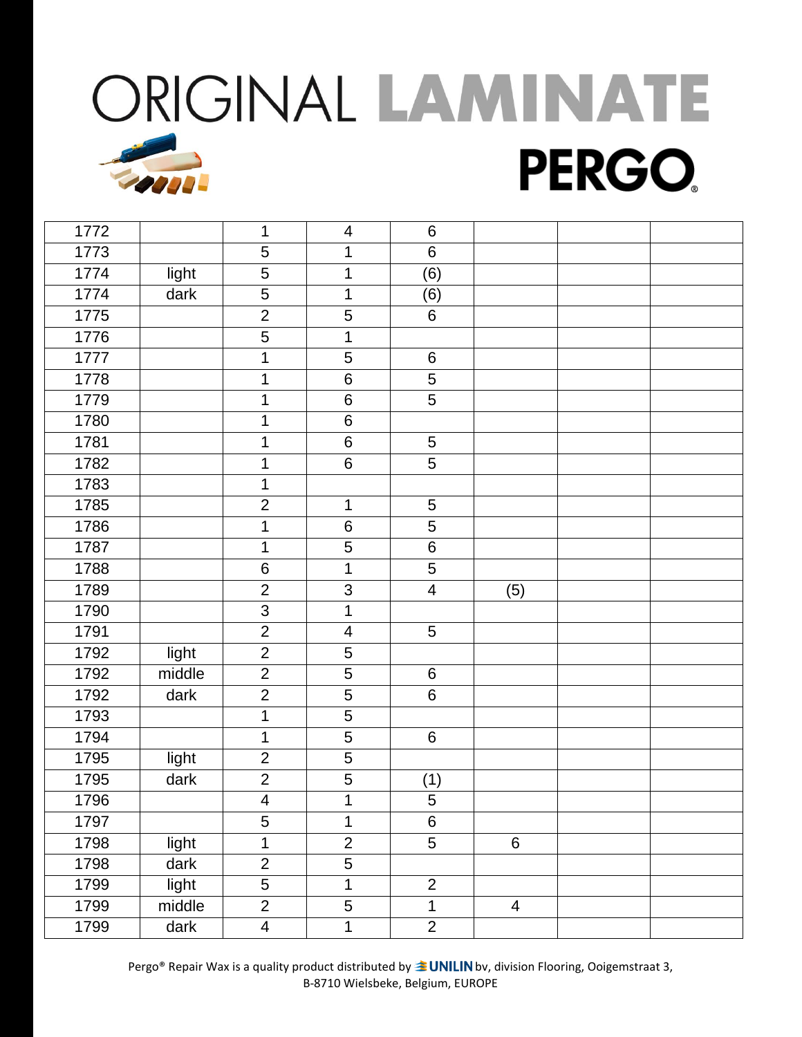| 1772 |        | 1                       | $\overline{\mathbf{4}}$ | $6\phantom{1}6$         |                |  |
|------|--------|-------------------------|-------------------------|-------------------------|----------------|--|
| 1773 |        | 5                       | $\mathbf 1$             | $\,6\,$                 |                |  |
| 1774 | light  | 5                       | $\mathbf 1$             | (6)                     |                |  |
| 1774 | dark   | 5                       | $\mathbf 1$             | (6)                     |                |  |
| 1775 |        | $\overline{2}$          | 5                       | 6                       |                |  |
| 1776 |        | 5                       | $\mathbf 1$             |                         |                |  |
| 1777 |        | 1                       | 5                       | $\,6\,$                 |                |  |
| 1778 |        | 1                       | $\,6$                   | 5                       |                |  |
| 1779 |        | 1                       | $\,6$                   | 5                       |                |  |
| 1780 |        | 1                       | $\,6$                   |                         |                |  |
| 1781 |        | 1                       | 6                       | 5                       |                |  |
| 1782 |        | 1                       | $\,6$                   | 5                       |                |  |
| 1783 |        | 1                       |                         |                         |                |  |
| 1785 |        | $\overline{2}$          | $\mathbf 1$             | $\overline{5}$          |                |  |
| 1786 |        | 1                       | $\,6$                   | $\sqrt{5}$              |                |  |
| 1787 |        | 1                       | 5                       | $\,6$                   |                |  |
| 1788 |        | $\,6$                   | $\mathbf 1$             | 5                       |                |  |
| 1789 |        | $\overline{2}$          | 3                       | $\overline{\mathbf{4}}$ | (5)            |  |
| 1790 |        | $\overline{3}$          | $\mathbf 1$             |                         |                |  |
| 1791 |        | $\overline{2}$          | $\overline{\mathbf{4}}$ | 5                       |                |  |
| 1792 | light  | $\overline{2}$          | $\mathbf 5$             |                         |                |  |
| 1792 | middle | $\overline{2}$          | 5                       | 6                       |                |  |
| 1792 | dark   | $\mathbf{2}$            | 5                       | $\,6$                   |                |  |
| 1793 |        | 1                       | 5                       |                         |                |  |
| 1794 |        | 1                       | $\overline{5}$          | $\,6\,$                 |                |  |
| 1795 | light  | $\overline{2}$          | 5                       |                         |                |  |
| 1795 | dark   | $\overline{2}$          | 5                       | (1)                     |                |  |
| 1796 |        | $\overline{4}$          | $\mathbf 1$             | 5                       |                |  |
| 1797 |        | 5                       | $\mathbf{1}$            | $\,6\,$                 |                |  |
| 1798 | light  | $\mathbf 1$             | $\overline{2}$          | $\overline{5}$          | $\,6\,$        |  |
| 1798 | dark   | $\overline{c}$          | 5                       |                         |                |  |
| 1799 | light  | $\overline{5}$          | $\overline{\mathbf{1}}$ | $\overline{2}$          |                |  |
| 1799 | middle | $\overline{2}$          | $\overline{5}$          | $\mathbf 1$             | $\overline{4}$ |  |
| 1799 | dark   | $\overline{\mathbf{4}}$ | $\mathbf 1$             | $\overline{2}$          |                |  |
|      |        |                         |                         |                         |                |  |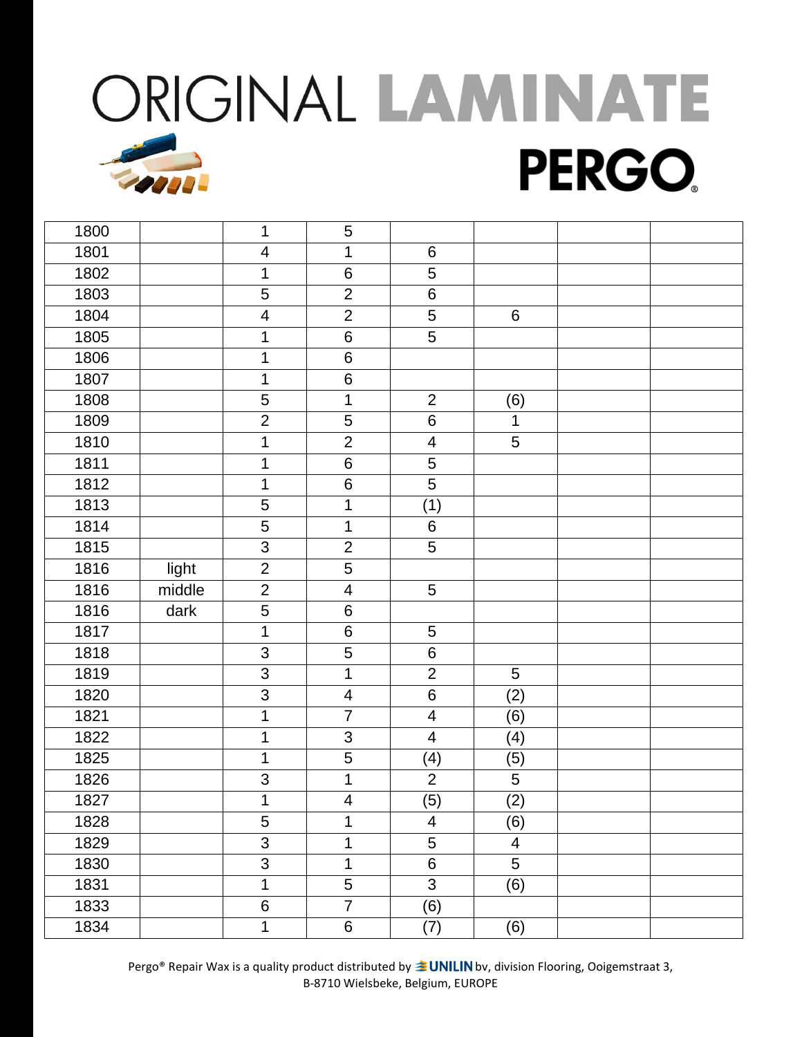| 1800 |        | 1                         | 5                       |                         |                     |  |
|------|--------|---------------------------|-------------------------|-------------------------|---------------------|--|
| 1801 |        | $\overline{\mathcal{A}}$  | $\mathbf 1$             | $6\phantom{1}$          |                     |  |
| 1802 |        | 1                         | $\,6$                   | 5                       |                     |  |
| 1803 |        | $\overline{5}$            | $\overline{2}$          | $\,6$                   |                     |  |
| 1804 |        | $\overline{\mathbf{4}}$   | $\overline{2}$          | $\sqrt{5}$              | $6\phantom{1}$      |  |
| 1805 |        | 1                         | $\,6$                   | 5                       |                     |  |
| 1806 |        | $\mathbf 1$               | $\,6$                   |                         |                     |  |
| 1807 |        | $\mathbf 1$               | 6                       |                         |                     |  |
| 1808 |        | $\sqrt{5}$                | $\mathbf{1}$            | $\overline{2}$          |                     |  |
| 1809 |        | $\overline{2}$            | 5                       | $\,6$                   | (6)<br>$\mathbf{1}$ |  |
| 1810 |        | 1                         | $\overline{2}$          | 4                       | 5                   |  |
| 1811 |        | 1                         | $\,6$                   | 5                       |                     |  |
| 1812 |        | $\mathbf 1$               | $\,6$                   | 5                       |                     |  |
| 1813 |        | 5                         | $\overline{1}$          | (1)                     |                     |  |
| 1814 |        | 5                         | $\mathbf 1$             | $\,6\,$                 |                     |  |
| 1815 |        | 3                         | $\overline{2}$          | 5                       |                     |  |
| 1816 |        | $\overline{2}$            | $\overline{5}$          |                         |                     |  |
|      | light  | $\overline{2}$            | $\overline{\mathbf{4}}$ |                         |                     |  |
| 1816 | middle |                           |                         | $\sqrt{5}$              |                     |  |
| 1816 | dark   | $\overline{5}$            | $\,6$                   |                         |                     |  |
| 1817 |        | 1                         | 6                       | $\sqrt{5}$              |                     |  |
| 1818 |        | 3                         | 5                       | $\,6\,$                 |                     |  |
| 1819 |        | $\mathsf 3$               | $\mathbf 1$             | $\overline{2}$          | 5                   |  |
| 1820 |        | $\mathbf{3}$              | $\overline{\mathbf{4}}$ | $\,6$                   | (2)                 |  |
| 1821 |        | $\mathbf 1$               | $\overline{7}$          | 4                       | (6)                 |  |
| 1822 |        | 1                         | $\mathfrak{S}$          | $\overline{4}$          | (4)                 |  |
| 1825 |        | 1                         | 5                       | (4)                     | (5)                 |  |
| 1826 |        | 3                         | $\mathbf 1$             | $\overline{2}$          | $\overline{5}$      |  |
| 1827 |        | 1                         | $\overline{\mathbf{4}}$ | (5)                     | (2)                 |  |
| 1828 |        | 5                         | $\mathbf 1$             | $\overline{\mathbf{4}}$ | (6)                 |  |
| 1829 |        | $\ensuremath{\mathsf{3}}$ | $\mathbf 1$             | 5                       | $\overline{4}$      |  |
| 1830 |        | $\overline{3}$            | $\mathbf 1$             | $\,6\,$                 | 5                   |  |
| 1831 |        | 1                         | 5                       | $\overline{3}$          | (6)                 |  |
| 1833 |        | $\,6$                     | $\overline{7}$          | (6)                     |                     |  |
| 1834 |        | $\mathbf{1}$              | $\,6\,$                 | (7)                     | (6)                 |  |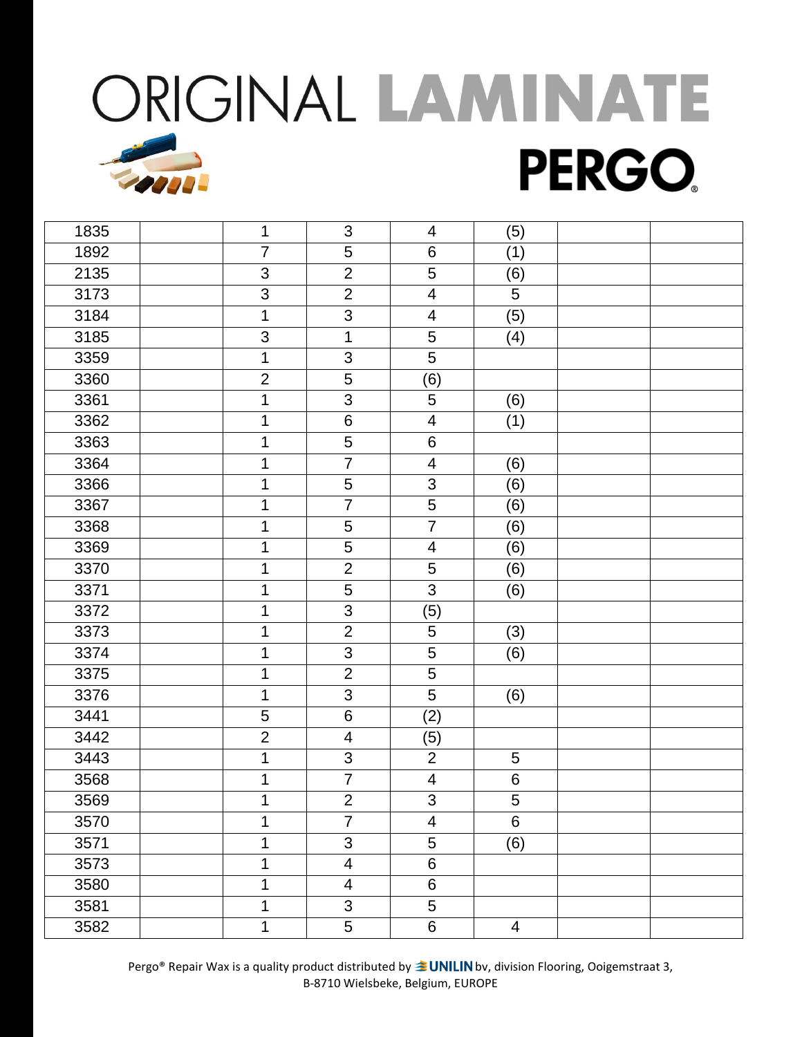| 1835 | 1                         | $\mathfrak{B}$          | 4                        | (5)            |  |
|------|---------------------------|-------------------------|--------------------------|----------------|--|
| 1892 | $\overline{7}$            | 5                       | 6                        | (1)            |  |
| 2135 | 3                         | $\overline{2}$          | 5                        | (6)            |  |
| 3173 | $\mathfrak{S}$            | $\overline{2}$          | $\overline{\mathbf{4}}$  | 5              |  |
| 3184 | 1                         | 3                       | $\overline{4}$           | (5)            |  |
| 3185 | $\ensuremath{\mathsf{3}}$ | $\mathbf 1$             | $\overline{5}$           | (4)            |  |
| 3359 | 1                         | 3                       | 5                        |                |  |
| 3360 | $\overline{2}$            | 5                       | (6)                      |                |  |
| 3361 | 1                         | 3                       | 5                        | (6)            |  |
| 3362 | 1                         | 6                       | 4                        | (1)            |  |
| 3363 | 1                         | $\overline{5}$          | $\,6$                    |                |  |
| 3364 | 1                         | $\overline{7}$          | $\overline{\mathbf{4}}$  | (6)            |  |
| 3366 | 1                         | 5                       | 3                        | (6)            |  |
| 3367 | 1                         | $\overline{7}$          | $\overline{5}$           | (6)            |  |
| 3368 | 1                         | $\overline{5}$          | $\overline{7}$           | (6)            |  |
| 3369 | 1                         | 5                       | $\overline{\mathcal{A}}$ | (6)            |  |
| 3370 | 1                         | $\overline{2}$          | 5                        | (6)            |  |
| 3371 | 1                         | 5                       | $\overline{3}$           | (6)            |  |
| 3372 | 1                         | $\overline{3}$          | (5)                      |                |  |
| 3373 | 1                         | $\overline{2}$          | 5                        | (3)            |  |
| 3374 | 1                         | 3                       | 5                        | (6)            |  |
| 3375 | $\mathbf 1$               | $\overline{2}$          | $\sqrt{5}$               |                |  |
| 3376 | 1                         | 3                       | 5                        | (6)            |  |
| 3441 | 5                         | 6                       | (2)                      |                |  |
| 3442 | $\overline{2}$            | 4                       | (5)                      |                |  |
| 3443 | 1                         | 3                       | $\overline{2}$           | 5              |  |
| 3568 | 1                         | $\overline{7}$          | 4                        | $\,6\,$        |  |
| 3569 | 1                         | $\overline{2}$          | 3                        | 5              |  |
| 3570 | 1                         | $\overline{7}$          | 4                        | 6              |  |
| 3571 | 1                         | 3                       | 5                        | (6)            |  |
| 3573 | 1                         | $\overline{\mathbf{4}}$ | $\,6$                    |                |  |
| 3580 | 1                         | 4                       | $\,6$                    |                |  |
| 3581 | 1                         | $\overline{3}$          | 5                        |                |  |
| 3582 | 1                         | 5                       | $\,6\,$                  | $\overline{4}$ |  |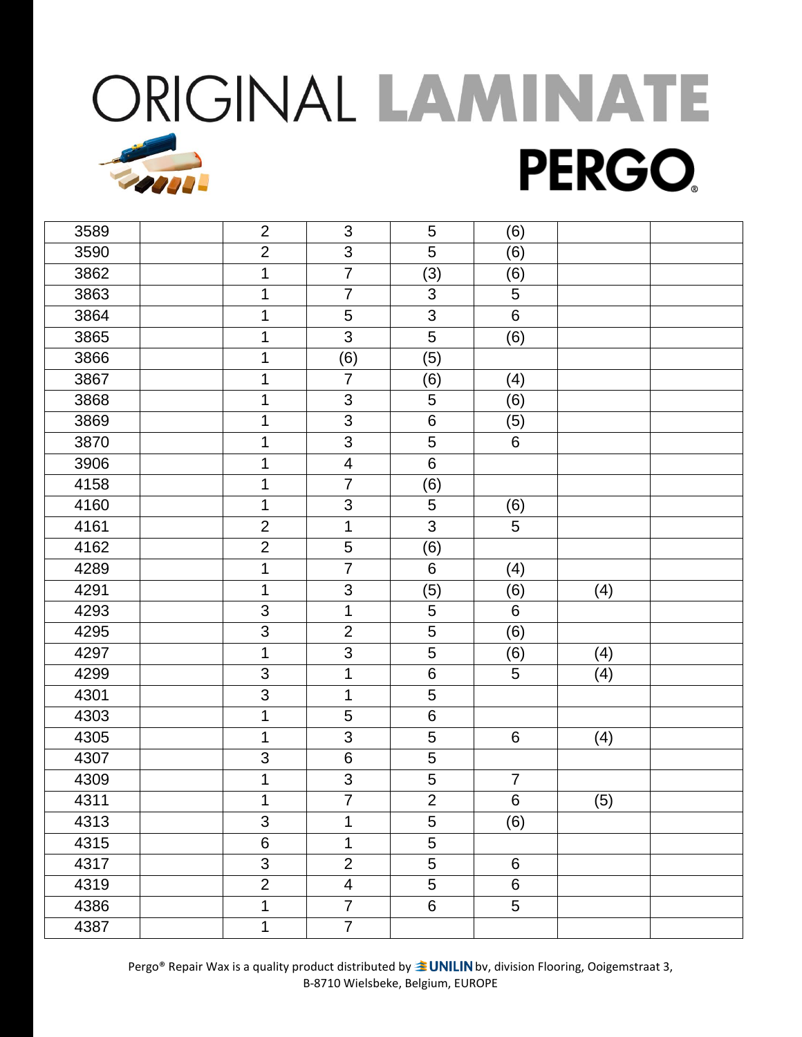| 3589 | $\overline{2}$ | 3                       | 5              | (6)            |     |  |
|------|----------------|-------------------------|----------------|----------------|-----|--|
| 3590 | $\overline{2}$ | 3                       | 5              | (6)            |     |  |
| 3862 | 1              | $\overline{7}$          | (3)            | (6)            |     |  |
| 3863 | 1              | $\overline{7}$          | 3              | 5              |     |  |
| 3864 | 1              | 5                       | 3              | $6\phantom{a}$ |     |  |
| 3865 | 1              | 3                       | 5              | (6)            |     |  |
| 3866 | 1              | (6)                     | (5)            |                |     |  |
| 3867 | 1              | $\overline{7}$          | (6)            | (4)            |     |  |
| 3868 | 1              | 3                       | 5              | (6)            |     |  |
| 3869 | 1              | 3                       | $\,6$          | (5)            |     |  |
| 3870 | 1              | $\overline{3}$          | 5              | 6              |     |  |
| 3906 | 1              | $\overline{\mathbf{4}}$ | $\,6\,$        |                |     |  |
| 4158 | $\mathbf 1$    | $\overline{7}$          | (6)            |                |     |  |
| 4160 | 1              | 3                       | $\overline{5}$ | (6)            |     |  |
| 4161 | $\overline{2}$ | $\mathbf 1$             | $\overline{3}$ | $\overline{5}$ |     |  |
| 4162 | $\overline{2}$ | 5                       | (6)            |                |     |  |
| 4289 | 1              | $\overline{7}$          | 6              | (4)            |     |  |
| 4291 | 1              | 3                       | (5)            | (6)            | (4) |  |
| 4293 | $\mathfrak{S}$ | $\mathbf{1}$            | 5              | 6              |     |  |
| 4295 | 3              | $\overline{2}$          | 5              | (6)            |     |  |
| 4297 | 1              | 3                       | 5              | (6)            | (4) |  |
| 4299 | 3              | $\mathbf 1$             | $\,6\,$        | 5              | (4) |  |
| 4301 | 3              | $\mathbf 1$             | 5              |                |     |  |
| 4303 | 1              | 5                       | $\,6\,$        |                |     |  |
| 4305 | 1              | 3                       | $\mathbf 5$    | 6              | (4) |  |
| 4307 | 3              | $\,6$                   | 5              |                |     |  |
| 4309 | 1              | $\mathbf{3}$            | $\sqrt{5}$     | $\overline{7}$ |     |  |
| 4311 | 1              | $\overline{7}$          | $\overline{2}$ | $6\phantom{a}$ | (5) |  |
| 4313 | 3              | 1                       | 5              | (6)            |     |  |
| 4315 | $\,6$          | $\mathbf 1$             | 5              |                |     |  |
| 4317 | 3              | $\overline{2}$          | 5              | $6\phantom{a}$ |     |  |
| 4319 | $\overline{2}$ | $\overline{\mathbf{4}}$ | 5              | 6              |     |  |
| 4386 | 1              | $\overline{7}$          | $6\phantom{a}$ | $\overline{5}$ |     |  |
| 4387 | 1              | $\overline{7}$          |                |                |     |  |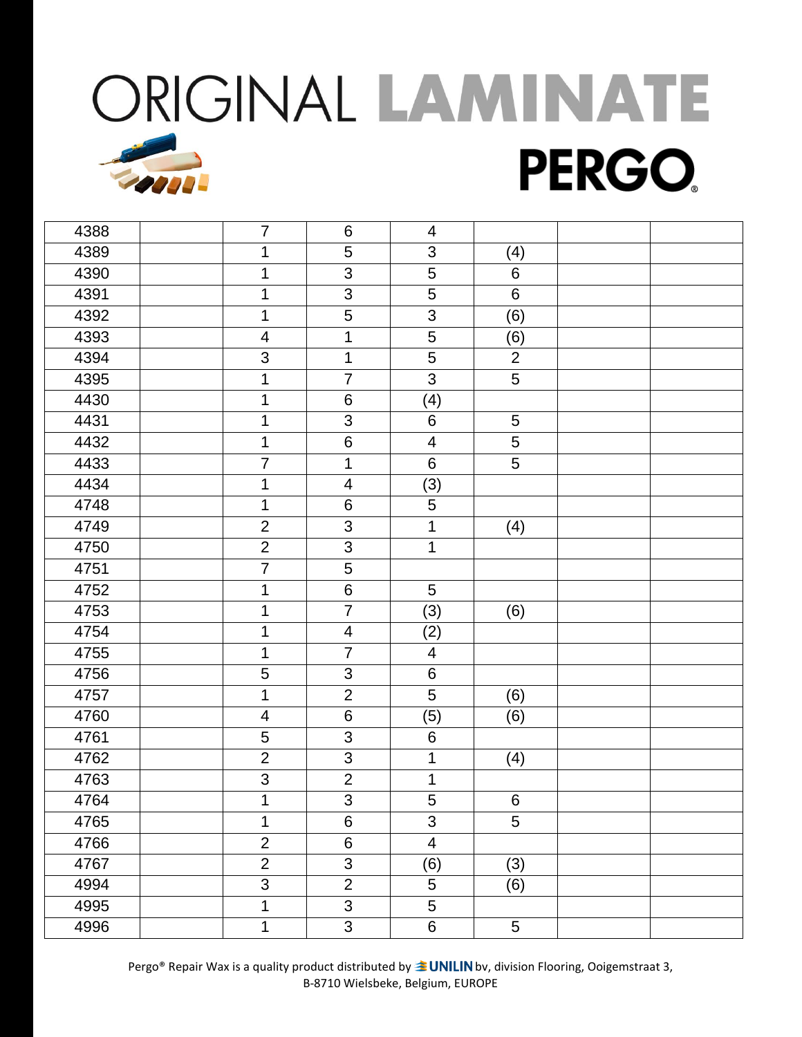| 4388 | $\overline{7}$          | $6\phantom{1}6$ | 4                        |                |  |
|------|-------------------------|-----------------|--------------------------|----------------|--|
| 4389 | 1                       | 5               | 3                        | (4)            |  |
| 4390 | 1                       | $\overline{3}$  | 5                        | 6              |  |
| 4391 | 1                       | $\mathsf 3$     | 5                        | $\,6\,$        |  |
| 4392 | $\mathbf 1$             | $\overline{5}$  | 3                        | (6)            |  |
| 4393 | $\overline{\mathbf{4}}$ | $\mathbf{1}$    | 5                        | (6)            |  |
| 4394 | 3                       | $\mathbf 1$     | 5                        | $\overline{2}$ |  |
| 4395 | 1                       | $\overline{7}$  | 3                        | $\overline{5}$ |  |
| 4430 | $\mathbf 1$             | $\,6$           | (4)                      |                |  |
| 4431 | 1                       | $\mathfrak{S}$  | $\,6$                    | $\overline{5}$ |  |
| 4432 | 1                       | $6\phantom{1}$  | $\overline{\mathbf{4}}$  | $\overline{5}$ |  |
| 4433 | $\overline{7}$          | $\mathbf{1}$    | 6                        | 5              |  |
| 4434 | 1                       | $\overline{4}$  | (3)                      |                |  |
| 4748 | 1                       | $\,6$           | 5                        |                |  |
| 4749 | $\overline{2}$          | 3               | $\mathbf 1$              | (4)            |  |
| 4750 | $\overline{2}$          | $\mathfrak{S}$  | $\mathbf{1}$             |                |  |
| 4751 | $\overline{7}$          | 5               |                          |                |  |
| 4752 | 1                       | $\overline{6}$  | 5                        |                |  |
| 4753 | $\mathbf 1$             | $\overline{7}$  | (3)                      | (6)            |  |
| 4754 | 1                       | $\overline{4}$  | (2)                      |                |  |
| 4755 | 1                       | $\overline{7}$  | $\overline{4}$           |                |  |
| 4756 | 5                       | 3               | $\,6$                    |                |  |
| 4757 | 1                       | $\overline{2}$  | 5                        | (6)            |  |
| 4760 | $\overline{\mathbf{4}}$ | $\,6\,$         | (5)                      | (6)            |  |
| 4761 | 5                       | 3               | $\,6$                    |                |  |
| 4762 | $\overline{2}$          | 3               | 1                        | (4)            |  |
| 4763 | $\mathfrak{S}$          | $\overline{2}$  | 1                        |                |  |
| 4764 | 1                       | $\overline{3}$  | 5                        | $6\phantom{1}$ |  |
| 4765 | 1                       | $\,6\,$         | 3                        | $\overline{5}$ |  |
| 4766 | $\overline{2}$          | $\,6\,$         | $\overline{\mathcal{A}}$ |                |  |
| 4767 | $\overline{2}$          | $\mathfrak{S}$  | (6)                      | (3)            |  |
| 4994 | $\overline{3}$          | $\overline{2}$  | 5                        | (6)            |  |
| 4995 | 1                       | $\overline{3}$  | 5                        |                |  |
| 4996 | 1                       | 3               | $6\phantom{.}$           | $\sqrt{5}$     |  |